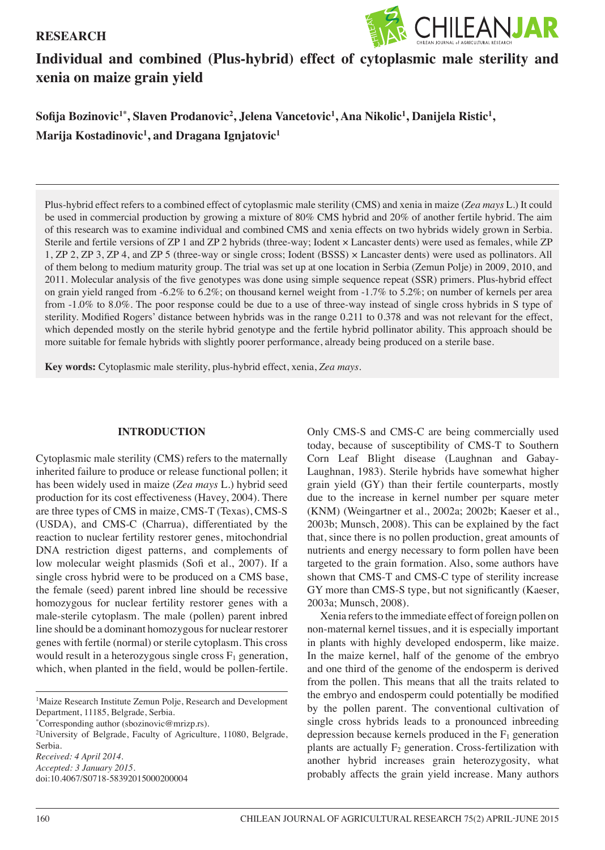## **RESEARCH**



# **Individual and combined (Plus-hybrid) effect of cytoplasmic male sterility and xenia on maize grain yield**

 $\delta$ Sofija Bozinovic<sup>1\*</sup>, Slaven Prodanovic<sup>2</sup>, Jelena Vancetovic<sup>1</sup>, Ana Nikolic<sup>1</sup>, Danijela Ristic<sup>1</sup>, **Marija Kostadinovic<sup>1</sup> , and Dragana Ignjatovic<sup>1</sup>** 

Plus-hybrid effect refers to a combined effect of cytoplasmic male sterility (CMS) and xenia in maize (*Zea mays* L.) It could be used in commercial production by growing a mixture of 80% CMS hybrid and 20% of another fertile hybrid. The aim of this research was to examine individual and combined CMS and xenia effects on two hybrids widely grown in Serbia. Sterile and fertile versions of ZP 1 and ZP 2 hybrids (three-way; Iodent × Lancaster dents) were used as females, while ZP 1, ZP 2, ZP 3, ZP 4, and ZP 5 (three-way or single cross; Iodent (BSSS) × Lancaster dents) were used as pollinators. All of them belong to medium maturity group. The trial was set up at one location in Serbia (Zemun Polje) in 2009, 2010, and 2011. Molecular analysis of the five genotypes was done using simple sequence repeat (SSR) primers. Plus-hybrid effect on grain yield ranged from -6.2% to 6.2%; on thousand kernel weight from -1.7% to 5.2%; on number of kernels per area from -1.0% to 8.0%. The poor response could be due to a use of three-way instead of single cross hybrids in S type of sterility. Modified Rogers' distance between hybrids was in the range 0.211 to 0.378 and was not relevant for the effect, which depended mostly on the sterile hybrid genotype and the fertile hybrid pollinator ability. This approach should be more suitable for female hybrids with slightly poorer performance, already being produced on a sterile base.

**Key words:** Cytoplasmic male sterility, plus-hybrid effect, xenia, *Zea mays*.

## **INTRODUCTION**

Cytoplasmic male sterility (CMS) refers to the maternally inherited failure to produce or release functional pollen; it has been widely used in maize (*Zea mays* L.) hybrid seed production for its cost effectiveness (Havey, 2004). There are three types of CMS in maize, CMS-T (Texas), CMS-S (USDA), and CMS-C (Charrua), differentiated by the reaction to nuclear fertility restorer genes, mitochondrial DNA restriction digest patterns, and complements of low molecular weight plasmids (Sofi et al., 2007). If a single cross hybrid were to be produced on a CMS base, the female (seed) parent inbred line should be recessive homozygous for nuclear fertility restorer genes with a male-sterile cytoplasm. The male (pollen) parent inbred line should be a dominant homozygous for nuclear restorer genes with fertile (normal) or sterile cytoplasm. This cross would result in a heterozygous single cross  $F_1$  generation, which, when planted in the field, would be pollen-fertile.

\* Corresponding author (sbozinovic@mrizp.rs).

2 University of Belgrade, Faculty of Agriculture, 11080, Belgrade, Serbia. *Received: 4 April 2014. Accepted: 3 January 2015.*

doi:10.4067/S0718-58392015000200004

Only CMS-S and CMS-C are being commercially used today, because of susceptibility of CMS-T to Southern Corn Leaf Blight disease (Laughnan and Gabay-Laughnan, 1983). Sterile hybrids have somewhat higher grain yield (GY) than their fertile counterparts, mostly due to the increase in kernel number per square meter (KNM) (Weingartner et al., 2002a; 2002b; Kaeser et al., 2003b; Munsch, 2008). This can be explained by the fact that, since there is no pollen production, great amounts of nutrients and energy necessary to form pollen have been targeted to the grain formation. Also, some authors have shown that CMS-T and CMS-C type of sterility increase GY more than CMS-S type, but not significantly (Kaeser, 2003a; Munsch, 2008).

Xenia refers to the immediate effect of foreign pollen on non-maternal kernel tissues, and it is especially important in plants with highly developed endosperm, like maize. In the maize kernel, half of the genome of the embryo and one third of the genome of the endosperm is derived from the pollen. This means that all the traits related to the embryo and endosperm could potentially be modified by the pollen parent. The conventional cultivation of single cross hybrids leads to a pronounced inbreeding depression because kernels produced in the  $F_1$  generation plants are actually  $F_2$  generation. Cross-fertilization with another hybrid increases grain heterozygosity, what probably affects the grain yield increase. Many authors

<sup>&</sup>lt;sup>1</sup>Maize Research Institute Zemun Polje, Research and Development Department, 11185, Belgrade, Serbia.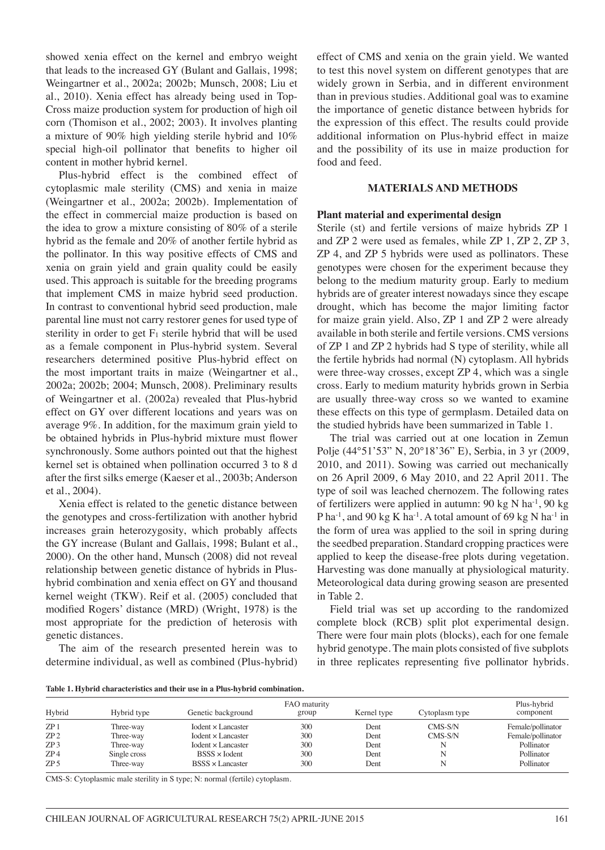showed xenia effect on the kernel and embryo weight that leads to the increased GY (Bulant and Gallais, 1998; Weingartner et al., 2002a; 2002b; Munsch, 2008; Liu et al., 2010). Xenia effect has already being used in Top-Cross maize production system for production of high oil corn (Thomison et al., 2002; 2003). It involves planting a mixture of 90% high yielding sterile hybrid and 10% special high-oil pollinator that benefits to higher oil content in mother hybrid kernel.

Plus-hybrid effect is the combined effect of cytoplasmic male sterility (CMS) and xenia in maize (Weingartner et al., 2002a; 2002b). Implementation of the effect in commercial maize production is based on the idea to grow a mixture consisting of 80% of a sterile hybrid as the female and 20% of another fertile hybrid as the pollinator. In this way positive effects of CMS and xenia on grain yield and grain quality could be easily used. This approach is suitable for the breeding programs that implement CMS in maize hybrid seed production. In contrast to conventional hybrid seed production, male parental line must not carry restorer genes for used type of sterility in order to get  $F_1$  sterile hybrid that will be used as a female component in Plus-hybrid system. Several researchers determined positive Plus-hybrid effect on the most important traits in maize (Weingartner et al., 2002a; 2002b; 2004; Munsch, 2008). Preliminary results of Weingartner et al. (2002a) revealed that Plus-hybrid effect on GY over different locations and years was on average 9%. In addition, for the maximum grain yield to be obtained hybrids in Plus-hybrid mixture must flower synchronously. Some authors pointed out that the highest kernel set is obtained when pollination occurred 3 to 8 d after the first silks emerge (Kaeser et al., 2003b; Anderson et al., 2004).

Xenia effect is related to the genetic distance between the genotypes and cross-fertilization with another hybrid increases grain heterozygosity, which probably affects the GY increase (Bulant and Gallais, 1998; Bulant et al., 2000). On the other hand, Munsch (2008) did not reveal relationship between genetic distance of hybrids in Plushybrid combination and xenia effect on GY and thousand kernel weight (TKW). Reif et al. (2005) concluded that modified Rogers' distance (MRD) (Wright, 1978) is the most appropriate for the prediction of heterosis with genetic distances.

The aim of the research presented herein was to determine individual, as well as combined (Plus-hybrid) effect of CMS and xenia on the grain yield. We wanted to test this novel system on different genotypes that are widely grown in Serbia, and in different environment than in previous studies. Additional goal was to examine the importance of genetic distance between hybrids for the expression of this effect. The results could provide additional information on Plus-hybrid effect in maize and the possibility of its use in maize production for food and feed.

#### **MATERIALS AND METHODS**

#### **Plant material and experimental design**

Sterile (st) and fertile versions of maize hybrids ZP 1 and ZP 2 were used as females, while ZP 1, ZP 2, ZP 3, ZP 4, and ZP 5 hybrids were used as pollinators. These genotypes were chosen for the experiment because they belong to the medium maturity group. Early to medium hybrids are of greater interest nowadays since they escape drought, which has become the major limiting factor for maize grain yield. Also, ZP 1 and ZP 2 were already available in both sterile and fertile versions. CMS versions of ZP 1 and ZP 2 hybrids had S type of sterility, while all the fertile hybrids had normal (N) cytoplasm. All hybrids were three-way crosses, except ZP 4, which was a single cross. Early to medium maturity hybrids grown in Serbia are usually three-way cross so we wanted to examine these effects on this type of germplasm. Detailed data on the studied hybrids have been summarized in Table 1.

The trial was carried out at one location in Zemun Polje (44°51'53" N, 20°18'36" E), Serbia, in 3 yr (2009, 2010, and 2011). Sowing was carried out mechanically on 26 April 2009, 6 May 2010, and 22 April 2011. The type of soil was leached chernozem. The following rates of fertilizers were applied in autumn:  $90 \text{ kg N} \text{ ha}^{-1}$ ,  $90 \text{ kg}$ P ha<sup>-1</sup>, and 90 kg K ha<sup>-1</sup>. A total amount of 69 kg N ha<sup>-1</sup> in the form of urea was applied to the soil in spring during the seedbed preparation. Standard cropping practices were applied to keep the disease-free plots during vegetation. Harvesting was done manually at physiological maturity. Meteorological data during growing season are presented in Table 2.

Field trial was set up according to the randomized complete block (RCB) split plot experimental design. There were four main plots (blocks), each for one female hybrid genotype. The main plots consisted of five subplots in three replicates representing five pollinator hybrids.

**Table 1. Hybrid characteristics and their use in a Plus-hybrid combination.** 

| Hybrid          | Hybrid type  | Genetic background          | FAO maturity<br>group | Kernel type | Cytoplasm type | Plus-hybrid<br>component |
|-----------------|--------------|-----------------------------|-----------------------|-------------|----------------|--------------------------|
| ZP1             | Three-way    | $Iodent \times Lancaster$   | 300                   | Dent        | CMS-S/N        | Female/pollinator        |
| ZP2             | Three-way    | $Iodent \times Lancaster$   | 300                   | Dent        | $CMS-S/N$      | Female/pollinator        |
| ZP3             | Three-way    | $Iodent \times I.$ ancaster | 300                   | Dent        |                | Pollinator               |
| ZP4             | Single cross | $BSSS \times$ Iodent        | 300                   | Dent        |                | Pollinator               |
| ZP <sub>5</sub> | Three-way    | $BSSS \times I$ ancaster    | 300                   | Dent        |                | Pollinator               |

CMS-S: Cytoplasmic male sterility in S type; N: normal (fertile) cytoplasm.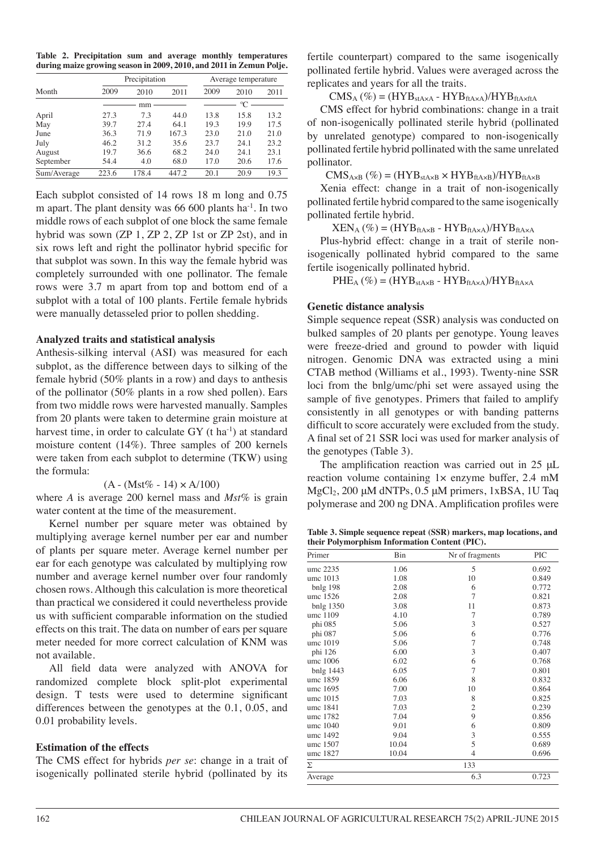**Table 2. Precipitation sum and average monthly temperatures during maize growing season in 2009, 2010, and 2011 in Zemun Polje.** 

|             |       | Precipitation | Average temperature |      |             |      |
|-------------|-------|---------------|---------------------|------|-------------|------|
| Month       | 2009  | 2010          | 2011                | 2009 | 2010        | 2011 |
|             |       | mm            |                     |      | $\rm ^{o}C$ |      |
| April       | 27.3  | 7.3           | 44.0                | 13.8 | 15.8        | 13.2 |
| May         | 39.7  | 27.4          | 64.1                | 19.3 | 19.9        | 17.5 |
| June        | 36.3  | 71.9          | 167.3               | 23.0 | 21.0        | 21.0 |
| July        | 46.2  | 31.2          | 35.6                | 23.7 | 24.1        | 23.2 |
| August      | 19.7  | 36.6          | 68.2                | 24.0 | 24.1        | 23.1 |
| September   | 54.4  | 4.0           | 68.0                | 17.0 | 20.6        | 17.6 |
| Sum/Average | 223.6 | 178.4         | 447.2               | 20.1 | 20.9        | 19.3 |

Each subplot consisted of 14 rows 18 m long and 0.75 m apart. The plant density was  $66 600$  plants ha<sup>-1</sup>. In two middle rows of each subplot of one block the same female hybrid was sown (ZP 1, ZP 2, ZP 1st or ZP 2st), and in six rows left and right the pollinator hybrid specific for that subplot was sown. In this way the female hybrid was completely surrounded with one pollinator. The female rows were 3.7 m apart from top and bottom end of a subplot with a total of 100 plants. Fertile female hybrids were manually detasseled prior to pollen shedding.

# **Analyzed traits and statistical analysis**

Anthesis-silking interval (ASI) was measured for each subplot, as the difference between days to silking of the female hybrid (50% plants in a row) and days to anthesis of the pollinator (50% plants in a row shed pollen). Ears from two middle rows were harvested manually. Samples from 20 plants were taken to determine grain moisture at harvest time, in order to calculate  $GY(t ha<sup>-1</sup>)$  at standard moisture content (14%). Three samples of 200 kernels were taken from each subplot to determine (TKW) using the formula:

 $(A - (Mst\% - 14) \times A/100)$ 

where *A* is average 200 kernel mass and *Mst%* is grain water content at the time of the measurement.

Kernel number per square meter was obtained by multiplying average kernel number per ear and number of plants per square meter. Average kernel number per ear for each genotype was calculated by multiplying row number and average kernel number over four randomly chosen rows. Although this calculation is more theoretical than practical we considered it could nevertheless provide us with sufficient comparable information on the studied effects on this trait. The data on number of ears per square meter needed for more correct calculation of KNM was not available.

All field data were analyzed with ANOVA for randomized complete block split-plot experimental design. T tests were used to determine significant differences between the genotypes at the 0.1, 0.05, and 0.01 probability levels.

# **Estimation of the effects**

The CMS effect for hybrids *per se*: change in a trait of isogenically pollinated sterile hybrid (pollinated by its

fertile counterpart) compared to the same isogenically pollinated fertile hybrid. Values were averaged across the replicates and years for all the traits.

 $CMS_A (\%) = (HYB_{stAxA} - HYB_{ftAxA})/HYB_{ftAxftA}$ 

CMS effect for hybrid combinations: change in a trait of non-isogenically pollinated sterile hybrid (pollinated by unrelated genotype) compared to non-isogenically pollinated fertile hybrid pollinated with the same unrelated pollinator.

 $CMS_{A\times B}$  (%) = (HYB<sub>stA×B</sub>  $\times$  HYB<sub>ftA×B</sub>)/HYB<sub>ftA×B</sub>

Xenia effect: change in a trait of non-isogenically pollinated fertile hybrid compared to the same isogenically pollinated fertile hybrid.

 $\text{XEN}_{\text{A}}\left(\%\right)= (\text{HYB}_{\text{ftA} \times \text{B}} \text{ - } \text{HYB}_{\text{ftA} \times \text{A}})/ \text{HYB}_{\text{ftA} \times \text{A}}$ 

Plus-hybrid effect: change in a trait of sterile nonisogenically pollinated hybrid compared to the same fertile isogenically pollinated hybrid.

 $PHE_{A}$  (%) = (HYB<sub>stAxB</sub> - HYB<sub>ftAxA</sub>)/HYB<sub>ftAxA</sub>

# **Genetic distance analysis**

Simple sequence repeat (SSR) analysis was conducted on bulked samples of 20 plants per genotype. Young leaves were freeze-dried and ground to powder with liquid nitrogen. Genomic DNA was extracted using a mini CTAB method (Williams et al., 1993). Twenty-nine SSR loci from the bnlg/umc/phi set were assayed using the sample of five genotypes. Primers that failed to amplify consistently in all genotypes or with banding patterns difficult to score accurately were excluded from the study. A final set of 21 SSR loci was used for marker analysis of the genotypes (Table 3).

The amplification reaction was carried out in 25 μL reaction volume containing 1× enzyme buffer, 2.4 mM MgCl2, 200 μM dNTPs, 0.5 μM primers, 1xBSA, 1U Taq polymerase and 200 ng DNA. Amplification profiles were

**Table 3. Simple sequence repeat (SSR) markers, map locations, and their Polymorphism Information Content (PIC).**

| Primer    | Bin<br>Nr of fragments |                | PIC   |
|-----------|------------------------|----------------|-------|
| umc 2235  | 1.06                   | 5              | 0.692 |
| umc 1013  | 1.08                   | 10             | 0.849 |
| bnlg 198  | 2.08                   | 6              | 0.772 |
| umc 1526  | 2.08                   | 7              | 0.821 |
| bnlg 1350 | 3.08                   | 11             | 0.873 |
| umc 1109  | 4.10                   | 7              | 0.789 |
| phi 085   | 5.06                   | 3              | 0.527 |
| phi 087   | 5.06                   | 6              | 0.776 |
| umc 1019  | 5.06                   | 7              | 0.748 |
| phi 126   | 6.00                   | 3              | 0.407 |
| umc 1006  | 6.02                   | 6              | 0.768 |
| bnlg 1443 | 6.05                   | $\overline{7}$ | 0.801 |
| umc 1859  | 6.06                   | 8              | 0.832 |
| umc 1695  | 7.00                   | 10             | 0.864 |
| umc 1015  | 7.03                   | 8              | 0.825 |
| umc 1841  | 7.03                   | $\overline{c}$ | 0.239 |
| umc 1782  | 7.04                   | 9              | 0.856 |
| umc 1040  | 9.01                   | 6              | 0.809 |
| umc 1492  | 9.04                   | 3              | 0.555 |
| umc 1507  | 10.04                  | 5              | 0.689 |
| umc 1827  | 10.04                  | 4              | 0.696 |
| Σ         |                        | 133            |       |
| Average   |                        | 6.3            | 0.723 |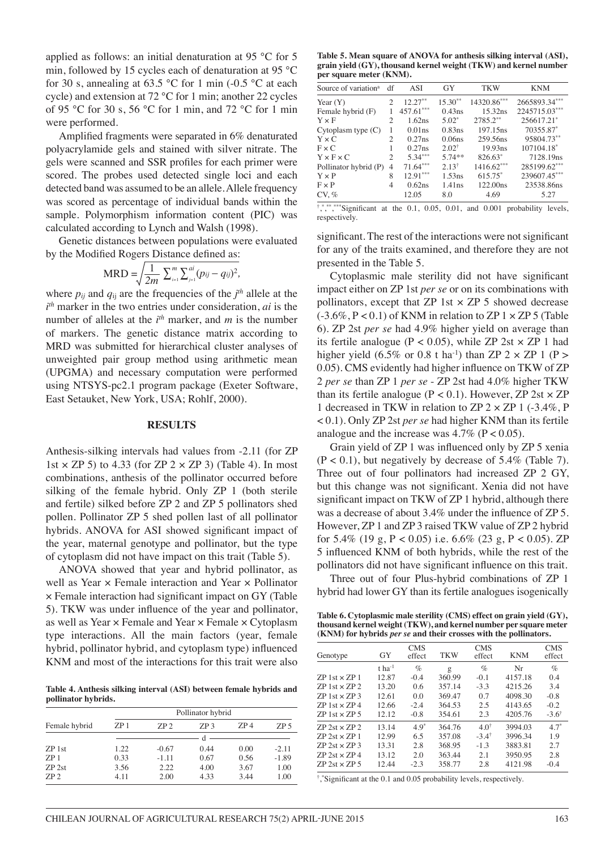applied as follows: an initial denaturation at 95 °C for 5 min, followed by 15 cycles each of denaturation at 95 °C for 30 s, annealing at 63.5 °C for 1 min (-0.5 °C at each cycle) and extension at 72 °C for 1 min; another 22 cycles of 95 °C for 30 s, 56 °C for 1 min, and 72 °C for 1 min were performed.

Amplified fragments were separated in 6% denaturated polyacrylamide gels and stained with silver nitrate. The gels were scanned and SSR profiles for each primer were scored. The probes used detected single loci and each detected band was assumed to be an allele. Allele frequency was scored as percentage of individual bands within the sample. Polymorphism information content (PIC) was calculated according to Lynch and Walsh (1998).

Genetic distances between populations were evaluated by the Modified Rogers Distance defined as:

$$
\text{MRD} = \sqrt{\frac{1}{2m} \sum_{i=1}^{m} \sum_{j=1}^{ai} (p_{ij} - q_{ij})^2},
$$

where  $p_{ij}$  and  $q_{ij}$  are the frequencies of the  $j<sup>th</sup>$  allele at the *i th* marker in the two entries under consideration, *ai* is the number of alleles at the  $i<sup>th</sup>$  marker, and *m* is the number of markers. The genetic distance matrix according to MRD was submitted for hierarchical cluster analyses of unweighted pair group method using arithmetic mean (UPGMA) and necessary computation were performed using NTSYS-pc2.1 program package (Exeter Software, East Setauket, New York, USA; Rohlf, 2000).

#### **RESULTS**

Anthesis-silking intervals had values from -2.11 (for ZP 1st  $\times$  ZP 5) to 4.33 (for ZP 2  $\times$  ZP 3) (Table 4). In most combinations, anthesis of the pollinator occurred before silking of the female hybrid. Only ZP 1 (both sterile and fertile) silked before ZP 2 and ZP 5 pollinators shed pollen. Pollinator ZP 5 shed pollen last of all pollinator hybrids. ANOVA for ASI showed significant impact of the year, maternal genotype and pollinator, but the type of cytoplasm did not have impact on this trait (Table 5).

ANOVA showed that year and hybrid pollinator, as well as Year × Female interaction and Year × Pollinator × Female interaction had significant impact on GY (Table 5). TKW was under influence of the year and pollinator, as well as Year × Female and Year × Female × Cytoplasm type interactions. All the main factors (year, female hybrid, pollinator hybrid, and cytoplasm type) influenced KNM and most of the interactions for this trait were also

**Table 4. Anthesis silking interval (ASI) between female hybrids and pollinator hybrids.**

|                 | Pollinator hybrid |             |            |      |                 |  |  |  |
|-----------------|-------------------|-------------|------------|------|-----------------|--|--|--|
| Female hybrid   | ZP <sub>1</sub>   | <b>ZP</b> 2 | <b>ZP3</b> | ZP4  | ZP <sub>5</sub> |  |  |  |
|                 |                   |             |            |      |                 |  |  |  |
| ZP 1st          | 1.22              | $-0.67$     | 0.44       | 0.00 | $-2.11$         |  |  |  |
| ZP <sub>1</sub> | 0.33              | $-1.11$     | 0.67       | 0.56 | $-1.89$         |  |  |  |
| $ZP$ 2st        | 3.56              | 2.22        | 4.00       | 3.67 | 1.00            |  |  |  |
| ZP <sub>2</sub> | 4.11              | 2.00        | 4.33       | 3.44 | 1.00            |  |  |  |

**Table 5. Mean square of ANOVA for anthesis silking interval (ASI), grain yield (GY), thousand kernel weight (TKW) and kernel number per square meter (KNM).**

| Source of variation <sup>a</sup> | df             | ASI         | GY                 | <b>TKW</b>           | <b>KNM</b>    |
|----------------------------------|----------------|-------------|--------------------|----------------------|---------------|
| Year $(Y)$                       | $\overline{c}$ | $12.27***$  | $15.30**$          | 14320.86***          | 2665893.34*** |
| Female hybrid (F)                |                | $457.61***$ | 0.43ns             | 15.32 <sub>ns</sub>  | 2245715.03*** |
| $Y \times F$                     | $\overline{c}$ | 1.62ns      | $5.02*$            | $2785.2***$          | 256617.21*    |
| Cytoplasm type $(C)$             | 1              | 0.01ns      | 0.83ns             | 197.15 <sub>ns</sub> | 70355.87*     |
| $Y \times C$                     | $\mathfrak{D}$ | 0.27ns      | 0.06 <sub>ns</sub> | 259.56ns             | 95804.73**    |
| $Fx$ C                           |                | $0.27$ ns   | $2.02^+$           | 19.93ns              | 107104.18*    |
| $Y \times F \times C$            | $\mathfrak{D}$ | $5.34***$   | $574**$            | $826.63*$            | 7128.19ns     |
| Pollinator hybrid (P)            | 4              | $71.64***$  | 2.13 <sup>†</sup>  | $1416.62***$         | 285199.62***  |
| $Y \times P$                     | 8              | $12.91***$  | $1.53$ ns          | 615.75*              | 239607.45***  |
| $F \times P$                     | 4              | 0.62ns      | 1.41ns             | 122.00ns             | 23538.86ns    |
| CV, %                            |                | 12.05       | 8.0                | 4.69                 | 5.27          |
| I should should see a con-       |                |             |                    |                      |               |

 $\uparrow$ , $\uparrow$ , $\uparrow$ , $\uparrow$ , $\uparrow$ significant at the 0.1, 0.05, 0.01, and 0.001 probability levels, respectively.

significant. The rest of the interactions were not significant for any of the traits examined, and therefore they are not presented in the Table 5.

Cytoplasmic male sterility did not have significant impact either on ZP 1st *per se* or on its combinations with pollinators, except that  $ZP$  1st  $\times$   $ZP$  5 showed decrease  $(-3.6\%, P < 0.1)$  of KNM in relation to ZP  $1 \times ZP$  5 (Table 6). ZP 2st *per se* had 4.9% higher yield on average than its fertile analogue ( $P < 0.05$ ), while ZP 2st  $\times$  ZP 1 had higher yield (6.5% or 0.8 t ha<sup>-1</sup>) than ZP 2  $\times$  ZP 1 (P > 0.05). CMS evidently had higher influence on TKW of ZP 2 *per se* than ZP 1 *per se* - ZP 2st had 4.0% higher TKW than its fertile analogue ( $P < 0.1$ ). However, ZP 2st  $\times$  ZP 1 decreased in TKW in relation to ZP 2 × ZP 1 (-3.4%, P < 0.1). Only ZP 2st *per se* had higher KNM than its fertile analogue and the increase was  $4.7\%$  (P < 0.05).

Grain yield of ZP 1 was influenced only by ZP 5 xenia  $(P < 0.1)$ , but negatively by decrease of 5.4% (Table 7). Three out of four pollinators had increased ZP 2 GY, but this change was not significant. Xenia did not have significant impact on TKW of ZP 1 hybrid, although there was a decrease of about 3.4% under the influence of ZP 5. However, ZP 1 and ZP 3 raised TKW value of ZP 2 hybrid for 5.4% (19 g, P < 0.05) i.e.  $6.6\%$  (23 g, P < 0.05). ZP 5 influenced KNM of both hybrids, while the rest of the pollinators did not have significant influence on this trait.

Three out of four Plus-hybrid combinations of ZP 1 hybrid had lower GY than its fertile analogues isogenically

**Table 6. Cytoplasmic male sterility (CMS) effect on grain yield (GY), thousand kernel weight (TKW), and kernel number per square meter (KNM) for hybrids** *per se* **and their crosses with the pollinators.** 

| GY                   | <b>CMS</b><br>effect | <b>TKW</b> | <b>CMS</b><br>effect | <b>KNM</b> | <b>CMS</b><br>effect |
|----------------------|----------------------|------------|----------------------|------------|----------------------|
| $t$ ha <sup>-1</sup> | $\%$                 |            | $\%$                 | Nr         | $\%$                 |
| 12.87                | $-0.4$               | 360.99     | $-0.1$               | 4157.18    | 0.4                  |
| 13.20                | 0.6                  | 357.14     | $-3.3$               | 4215.26    | 3.4                  |
| 12.61                | 0 <sub>0</sub>       | 369.47     | 0.7                  | 4098.30    | $-0.8$               |
| 12.66                | $-2.4$               | 364.53     | 2.5                  | 4143.65    | $-0.2$               |
| 12.12                | $-0.8$               | 354.61     | 2.3                  | 4205.76    | $-3.6^{\dagger}$     |
| 13.14                | $49*$                | 364.76     | $4.0^{\dagger}$      | 3994.03    | $47*$                |
| 12.99                | 65                   | 357.08     | $-3.4^{\dagger}$     | 3996.34    | 19                   |
| 13.31                | 2.8                  | 368.95     | $-13$                | 3883.81    | 2.7                  |
| 13.12                | 2.0                  | 363.44     | 2.1                  | 3950.95    | 2.8                  |
| 12.44                | $-2.3$               | 358.77     | 2.8                  | 4121.98    | $-0.4$               |
|                      |                      |            | g                    |            |                      |

† , \* Significant at the 0.1 and 0.05 probability levels, respectively.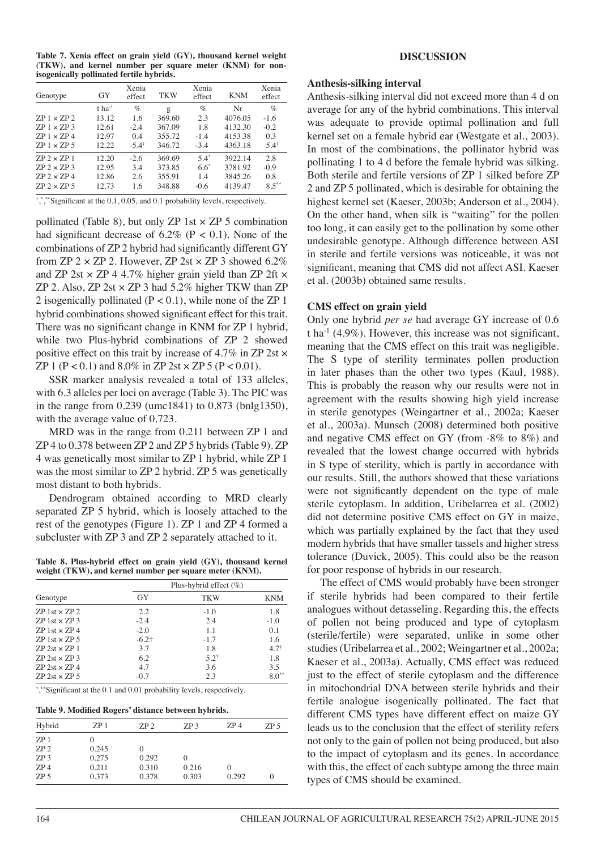**Table 7. Xenia effect on grain yield (GY), thousand kernel weight (TKW), and kernel number per square meter (KNM) for nonisogenically pollinated fertile hybrids.**

| Genotype                                                                     | GY                                                       | Xenia<br>effect                                  | <b>TKW</b>                                           | Xenia<br>effect                       | <b>KNM</b>                                     | Xenia<br>effect                                    |
|------------------------------------------------------------------------------|----------------------------------------------------------|--------------------------------------------------|------------------------------------------------------|---------------------------------------|------------------------------------------------|----------------------------------------------------|
| $ZP1 \times ZP2$<br>$ZP1 \times ZP3$<br>$ZP1 \times ZP4$<br>$ZP1 \times ZP5$ | $t$ ha <sup>-1</sup><br>13.12<br>12.61<br>12.97<br>12.22 | $\%$<br>1.6<br>$-2.4$<br>0.4<br>$-5.4^{\dagger}$ | $\mathbf{g}$<br>369.60<br>367.09<br>355.72<br>346.72 | $\%$<br>2.3<br>1.8<br>$-14$<br>$-3.4$ | Nr<br>4076.05<br>4132.30<br>4153.38<br>4363.18 | $\%$<br>$-1.6$<br>$-0.2$<br>0.3<br>$5.4^{\dagger}$ |
| $ZP2 \times ZP1$<br>$ZP2 \times ZP3$<br>$ZP2 \times ZP4$<br>$ZP2 \times ZP5$ | 12.20<br>12.95<br>12.86<br>12.73                         | $-2.6$<br>3.4<br>2.6<br>1.6                      | 369.69<br>373.85<br>355.91<br>348.88                 | $5.4*$<br>$6.6*$<br>1.4<br>$-0.6$     | 3922.14<br>3781.92<br>3845.26<br>4139.47       | 2.8<br>$-0.9$<br>0.8<br>$8.5***$                   |

<sup>†</sup>,\*,\*\*Significant at the 0.1, 0.05, and 0.1 probability levels, respectively.

pollinated (Table 8), but only ZP 1st  $\times$  ZP 5 combination had significant decrease of  $6.2\%$  (P < 0.1). None of the combinations of ZP 2 hybrid had significantly different GY from ZP  $2 \times ZP$  2. However, ZP  $2st \times ZP$  3 showed 6.2% and ZP 2st  $\times$  ZP 4 4.7% higher grain yield than ZP 2ft  $\times$ ZP 2. Also, ZP 2st  $\times$  ZP 3 had 5.2% higher TKW than ZP 2 isogenically pollinated  $(P < 0.1)$ , while none of the ZP 1 hybrid combinations showed significant effect for this trait. There was no significant change in KNM for ZP 1 hybrid, while two Plus-hybrid combinations of ZP 2 showed positive effect on this trait by increase of 4.7% in ZP 2st × ZP 1 (P < 0.1) and 8.0% in ZP 2st  $\times$  ZP 5 (P < 0.01).

SSR marker analysis revealed a total of 133 alleles, with 6.3 alleles per loci on average (Table 3). The PIC was in the range from 0.239 (umc1841) to 0.873 (bnlg1350), with the average value of 0.723.

MRD was in the range from 0.211 between ZP 1 and ZP 4 to 0.378 between ZP 2 and ZP 5 hybrids (Table 9). ZP 4 was genetically most similar to ZP 1 hybrid, while ZP 1 was the most similar to ZP 2 hybrid. ZP 5 was genetically most distant to both hybrids.

Dendrogram obtained according to MRD clearly separated ZP 5 hybrid, which is loosely attached to the rest of the genotypes (Figure 1). ZP 1 and ZP 4 formed a subcluster with ZP 3 and ZP 2 separately attached to it.

**Table 8. Plus-hybrid effect on grain yield (GY), thousand kernel weight (TKW), and kernel number per square meter (KNM).**

|                          | Plus-hybrid effect $(\%)$ |            |                 |  |  |
|--------------------------|---------------------------|------------|-----------------|--|--|
| Genotype                 | <b>GY</b>                 | <b>TKW</b> | <b>KNM</b>      |  |  |
| $ZP$ 1st $\times$ $ZP$ 2 | 2.2                       | $-1.0$     | 1.8             |  |  |
| $ZP$ 1st $\times$ $ZP$ 3 | $-2.4$                    | 2.4        | $-1.0$          |  |  |
| $ZP$ 1st $\times$ $ZP$ 4 | $-2.0$                    | 1.1        | 0.1             |  |  |
| $ZP$ 1st $\times$ $ZP$ 5 | $-6.2$ †                  | $-1.7$     | 1.6             |  |  |
| $ZP$ 2st $\times ZP$ 1   | 3.7                       | 1.8        | $4.7^{\dagger}$ |  |  |
| $ZP$ 2st $\times$ $ZP$ 3 | 6.2                       | $5.2^+$    | 1.8             |  |  |
| $ZP$ 2st $\times$ ZP 4   | 4.7                       | 3.6        | 3.5             |  |  |
| $ZP$ 2st $\times$ ZP 5   | $-0.7$                    | 2.3        | $8.0**$         |  |  |

† , \*\*Significant at the 0.1 and 0.01 probability levels, respectively.

**Table 9. Modified Rogers' distance between hybrids.**

| Hybrid          | ZP <sub>1</sub> | ZP2      | ZP <sub>3</sub> | ZP4      | ZP <sub>5</sub> |
|-----------------|-----------------|----------|-----------------|----------|-----------------|
| ZP 1            |                 |          |                 |          |                 |
| ZP <sub>2</sub> | 0.245           | $^{(1)}$ |                 |          |                 |
| ZP <sub>3</sub> | 0.275           | 0.292    | $_{0}$          |          |                 |
| ZP4             | 0.211           | 0.310    | 0.216           | $\theta$ |                 |
| ZP <sub>5</sub> | 0.373           | 0.378    | 0.303           | 0.292    |                 |

#### **DISCUSSION**

#### **Anthesis-silking interval**

Anthesis-silking interval did not exceed more than 4 d on average for any of the hybrid combinations. This interval was adequate to provide optimal pollination and full kernel set on a female hybrid ear (Westgate et al., 2003). In most of the combinations, the pollinator hybrid was pollinating 1 to 4 d before the female hybrid was silking. Both sterile and fertile versions of ZP 1 silked before ZP 2 and ZP 5 pollinated, which is desirable for obtaining the highest kernel set (Kaeser, 2003b; Anderson et al., 2004). On the other hand, when silk is "waiting" for the pollen too long, it can easily get to the pollination by some other undesirable genotype. Although difference between ASI in sterile and fertile versions was noticeable, it was not significant, meaning that CMS did not affect ASI. Kaeser et al. (2003b) obtained same results.

#### **CMS effect on grain yield**

Only one hybrid *per se* had average GY increase of 0.6 t ha<sup>-1</sup> (4.9%). However, this increase was not significant, meaning that the CMS effect on this trait was negligible. The S type of sterility terminates pollen production in later phases than the other two types (Kaul, 1988). This is probably the reason why our results were not in agreement with the results showing high yield increase in sterile genotypes (Weingartner et al., 2002a; Kaeser et al., 2003a). Munsch (2008) determined both positive and negative CMS effect on GY (from -8% to 8%) and revealed that the lowest change occurred with hybrids in S type of sterility, which is partly in accordance with our results. Still, the authors showed that these variations were not significantly dependent on the type of male sterile cytoplasm. In addition, Uribelarrea et al. (2002) did not determine positive CMS effect on GY in maize, which was partially explained by the fact that they used modern hybrids that have smaller tassels and higher stress tolerance (Duvick, 2005). This could also be the reason for poor response of hybrids in our research.

The effect of CMS would probably have been stronger if sterile hybrids had been compared to their fertile analogues without detasseling. Regarding this, the effects of pollen not being produced and type of cytoplasm (sterile/fertile) were separated, unlike in some other studies (Uribelarrea et al., 2002; Weingartner et al., 2002a; Kaeser et al., 2003a). Actually, CMS effect was reduced just to the effect of sterile cytoplasm and the difference in mitochondrial DNA between sterile hybrids and their fertile analogue isogenically pollinated. The fact that different CMS types have different effect on maize GY leads us to the conclusion that the effect of sterility refers not only to the gain of pollen not being produced, but also to the impact of cytoplasm and its genes. In accordance with this, the effect of each subtype among the three main types of CMS should be examined.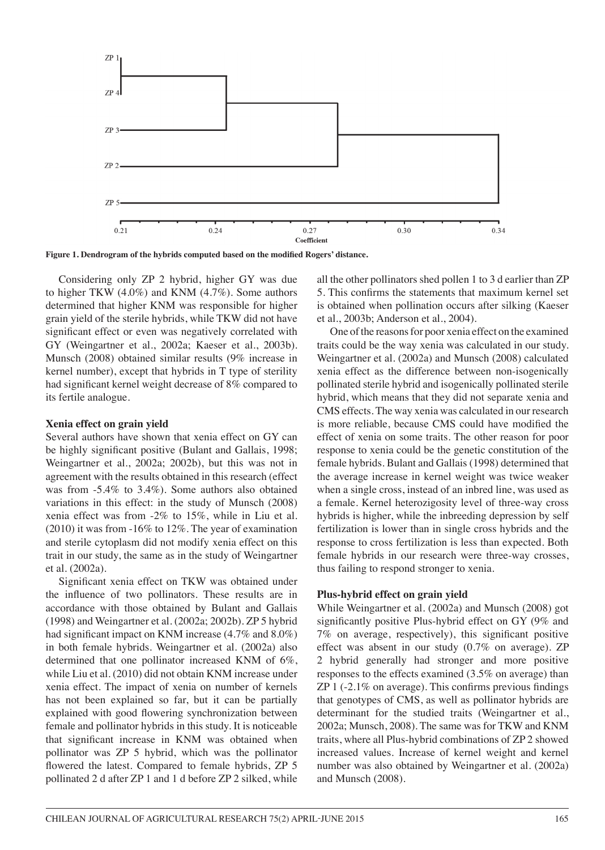

**Figure 1. Dendrogram of the hybrids computed based on the modified Rogers' distance.**

Considering only ZP 2 hybrid, higher GY was due to higher TKW (4.0%) and KNM (4.7%). Some authors determined that higher KNM was responsible for higher grain yield of the sterile hybrids, while TKW did not have significant effect or even was negatively correlated with GY (Weingartner et al., 2002a; Kaeser et al., 2003b). Munsch (2008) obtained similar results (9% increase in kernel number), except that hybrids in T type of sterility had significant kernel weight decrease of 8% compared to its fertile analogue.

#### **Xenia effect on grain yield**

Several authors have shown that xenia effect on GY can be highly significant positive (Bulant and Gallais, 1998; Weingartner et al., 2002a; 2002b), but this was not in agreement with the results obtained in this research (effect was from -5.4% to 3.4%). Some authors also obtained variations in this effect: in the study of Munsch (2008) xenia effect was from -2% to 15%, while in Liu et al. (2010) it was from -16% to 12%. The year of examination and sterile cytoplasm did not modify xenia effect on this trait in our study, the same as in the study of Weingartner et al. (2002a).

Significant xenia effect on TKW was obtained under the influence of two pollinators. These results are in accordance with those obtained by Bulant and Gallais (1998) and Weingartner et al. (2002a; 2002b). ZP 5 hybrid had significant impact on KNM increase (4.7% and 8.0%) in both female hybrids. Weingartner et al. (2002a) also determined that one pollinator increased KNM of 6%, while Liu et al. (2010) did not obtain KNM increase under xenia effect. The impact of xenia on number of kernels has not been explained so far, but it can be partially explained with good flowering synchronization between female and pollinator hybrids in this study. It is noticeable that significant increase in KNM was obtained when pollinator was ZP 5 hybrid, which was the pollinator flowered the latest. Compared to female hybrids, ZP 5 pollinated 2 d after ZP 1 and 1 d before ZP 2 silked, while all the other pollinators shed pollen 1 to 3 d earlier than ZP 5. This confirms the statements that maximum kernel set is obtained when pollination occurs after silking (Kaeser et al., 2003b; Anderson et al., 2004).

One of the reasons for poor xenia effect on the examined traits could be the way xenia was calculated in our study. Weingartner et al. (2002a) and Munsch (2008) calculated xenia effect as the difference between non-isogenically pollinated sterile hybrid and isogenically pollinated sterile hybrid, which means that they did not separate xenia and CMS effects. The way xenia was calculated in our research is more reliable, because CMS could have modified the effect of xenia on some traits. The other reason for poor response to xenia could be the genetic constitution of the female hybrids. Bulant and Gallais (1998) determined that the average increase in kernel weight was twice weaker when a single cross, instead of an inbred line, was used as a female. Kernel heterozigosity level of three-way cross hybrids is higher, while the inbreeding depression by self fertilization is lower than in single cross hybrids and the response to cross fertilization is less than expected. Both female hybrids in our research were three-way crosses, thus failing to respond stronger to xenia.

#### **Plus-hybrid effect on grain yield**

While Weingartner et al. (2002a) and Munsch (2008) got significantly positive Plus-hybrid effect on GY (9% and 7% on average, respectively), this significant positive effect was absent in our study (0.7% on average). ZP 2 hybrid generally had stronger and more positive responses to the effects examined (3.5% on average) than ZP 1 (-2.1% on average). This confirms previous findings that genotypes of CMS, as well as pollinator hybrids are determinant for the studied traits (Weingartner et al., 2002a; Munsch, 2008). The same was for TKW and KNM traits, where all Plus-hybrid combinations of ZP 2 showed increased values. Increase of kernel weight and kernel number was also obtained by Weingartner et al. (2002a) and Munsch (2008).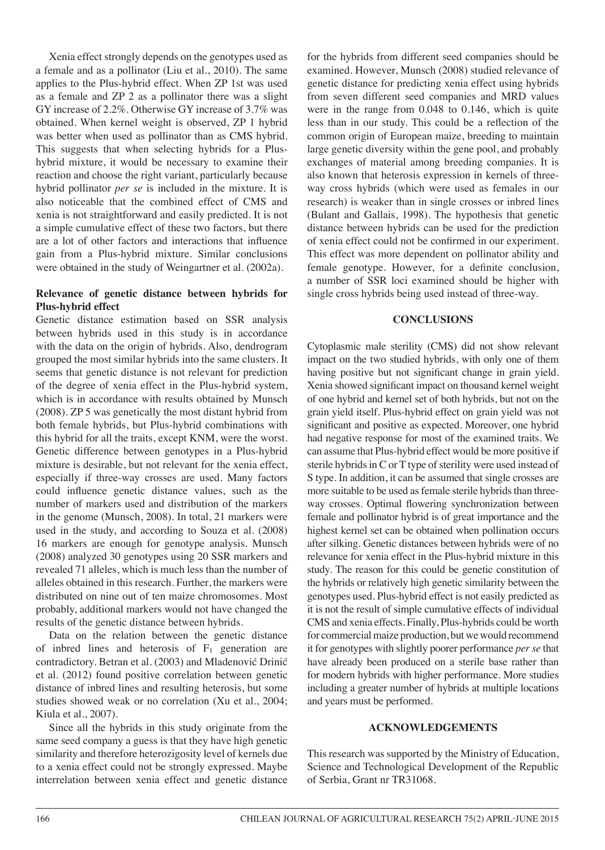Xenia effect strongly depends on the genotypes used as a female and as a pollinator (Liu et al., 2010). The same applies to the Plus-hybrid effect. When ZP 1st was used as a female and ZP 2 as a pollinator there was a slight GY increase of 2.2%. Otherwise GY increase of 3.7% was obtained. When kernel weight is observed, ZP 1 hybrid was better when used as pollinator than as CMS hybrid. This suggests that when selecting hybrids for a Plushybrid mixture, it would be necessary to examine their reaction and choose the right variant, particularly because hybrid pollinator *per se* is included in the mixture. It is also noticeable that the combined effect of CMS and xenia is not straightforward and easily predicted. It is not a simple cumulative effect of these two factors, but there are a lot of other factors and interactions that influence gain from a Plus-hybrid mixture. Similar conclusions were obtained in the study of Weingartner et al. (2002a).

### **Relevance of genetic distance between hybrids for Plus-hybrid effect**

Genetic distance estimation based on SSR analysis between hybrids used in this study is in accordance with the data on the origin of hybrids. Also, dendrogram grouped the most similar hybrids into the same clusters. It seems that genetic distance is not relevant for prediction of the degree of xenia effect in the Plus-hybrid system, which is in accordance with results obtained by Munsch (2008). ZP 5 was genetically the most distant hybrid from both female hybrids, but Plus-hybrid combinations with this hybrid for all the traits, except KNM, were the worst. Genetic difference between genotypes in a Plus-hybrid mixture is desirable, but not relevant for the xenia effect, especially if three-way crosses are used. Many factors could influence genetic distance values, such as the number of markers used and distribution of the markers in the genome (Munsch, 2008). In total, 21 markers were used in the study, and according to Souza et al. (2008) 16 markers are enough for genotype analysis. Munsch (2008) analyzed 30 genotypes using 20 SSR markers and revealed 71 alleles, which is much less than the number of alleles obtained in this research. Further, the markers were distributed on nine out of ten maize chromosomes. Most probably, additional markers would not have changed the results of the genetic distance between hybrids.

Data on the relation between the genetic distance of inbred lines and heterosis of  $F_1$  generation are contradictory. Betran et al. (2003) and Mladenović Drinić et al. (2012) found positive correlation between genetic distance of inbred lines and resulting heterosis, but some studies showed weak or no correlation (Xu et al., 2004; Kiula et al., 2007).

Since all the hybrids in this study originate from the same seed company a guess is that they have high genetic similarity and therefore heterozigosity level of kernels due to a xenia effect could not be strongly expressed. Maybe interrelation between xenia effect and genetic distance for the hybrids from different seed companies should be examined. However, Munsch (2008) studied relevance of genetic distance for predicting xenia effect using hybrids from seven different seed companies and MRD values were in the range from 0.048 to 0.146, which is quite less than in our study. This could be a reflection of the common origin of European maize, breeding to maintain large genetic diversity within the gene pool, and probably exchanges of material among breeding companies. It is also known that heterosis expression in kernels of threeway cross hybrids (which were used as females in our research) is weaker than in single crosses or inbred lines (Bulant and Gallais, 1998). The hypothesis that genetic distance between hybrids can be used for the prediction of xenia effect could not be confirmed in our experiment. This effect was more dependent on pollinator ability and female genotype. However, for a definite conclusion, a number of SSR loci examined should be higher with single cross hybrids being used instead of three-way.

# **CONCLUSIONS**

Cytoplasmic male sterility (CMS) did not show relevant impact on the two studied hybrids, with only one of them having positive but not significant change in grain yield. Xenia showed significant impact on thousand kernel weight of one hybrid and kernel set of both hybrids, but not on the grain yield itself. Plus-hybrid effect on grain yield was not significant and positive as expected. Moreover, one hybrid had negative response for most of the examined traits. We can assume that Plus-hybrid effect would be more positive if sterile hybrids in C or T type of sterility were used instead of S type. In addition, it can be assumed that single crosses are more suitable to be used as female sterile hybrids than threeway crosses. Optimal flowering synchronization between female and pollinator hybrid is of great importance and the highest kernel set can be obtained when pollination occurs after silking. Genetic distances between hybrids were of no relevance for xenia effect in the Plus-hybrid mixture in this study. The reason for this could be genetic constitution of the hybrids or relatively high genetic similarity between the genotypes used. Plus-hybrid effect is not easily predicted as it is not the result of simple cumulative effects of individual CMS and xenia effects. Finally, Plus-hybrids could be worth for commercial maize production, but we would recommend it for genotypes with slightly poorer performance *per se* that have already been produced on a sterile base rather than for modern hybrids with higher performance. More studies including a greater number of hybrids at multiple locations and years must be performed.

### **ACKNOWLEDGEMENTS**

This research was supported by the Ministry of Education, Science and Technological Development of the Republic of Serbia, Grant nr TR31068.